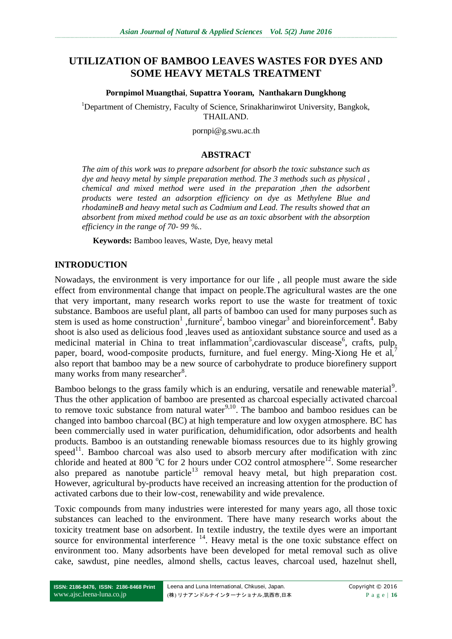# **UTILIZATION OF BAMBOO LEAVES WASTES FOR DYES AND SOME HEAVY METALS TREATMENT**

#### **Pornpimol Muangthai**, **Supattra Yooram, Nanthakarn Dungkhong**

<sup>1</sup>Department of Chemistry, Faculty of Science, Srinakharinwirot University, Bangkok, THAILAND.

pornpi@g.swu.ac.th

#### **ABSTRACT**

*The aim of this work was to prepare adsorbent for absorb the toxic substance such as dye and heavy metal by simple preparation method. The 3 methods such as physical , chemical and mixed method were used in the preparation ,then the adsorbent products were tested an adsorption efficiency on dye as Methylene Blue and rhodamineB and heavy metal such as Cadmium and Lead. The results showed that an absorbent from mixed method could be use as an toxic absorbent with the absorption efficiency in the range of 70- 99 %..*

**Keywords:** Bamboo leaves, Waste, Dye, heavy metal

### **INTRODUCTION**

Nowadays, the environment is very importance for our life , all people must aware the side effect from environmental change that impact on people.The agricultural wastes are the one that very important, many research works report to use the waste for treatment of toxic substance. Bamboos are useful plant, all parts of bamboo can used for many purposes such as stem is used as home construction<sup>1</sup>, furniture<sup>2</sup>, bamboo vinegar<sup>3</sup> and bioreinforcement<sup>4</sup>. Baby shoot is also used as delicious food ,leaves used as antioxidant substance source and used as a medicinal material in China to treat inflammation<sup>5</sup>, cardiovascular discease<sup>6</sup>, crafts, pulp, paper, board, wood-composite products, furniture, and fuel energy. Ming-Xiong He et al,<sup>7</sup> also report that bamboo may be a new source of carbohydrate to produce biorefinery support many works from many researcher<sup>8</sup>.

Bamboo belongs to the grass family which is an enduring, versatile and renewable material<sup>9</sup>. Thus the other application of bamboo are presented as charcoal especially activated charcoal to remove toxic substance from natural water<sup>9,10</sup>. The bamboo and bamboo residues can be changed into bamboo charcoal (BC) at high temperature and low oxygen atmosphere. BC has been commercially used in water purification, dehumidification, odor adsorbents and health products. Bamboo is an outstanding renewable biomass resources due to its highly growing  $\mathbf{s}$ peed<sup>11</sup>. Bamboo charcoal was also used to absorb mercury after modification with zinc chloride and heated at 800  $^{\circ}$ C for 2 hours under CO2 control atmosphere<sup>12</sup>. Some researcher also prepared as nanotube particle<sup>13</sup> removal heavy metal, but high preparation cost. However, agricultural by-products have received an increasing attention for the production of activated carbons due to their low-cost, renewability and wide prevalence.

Toxic compounds from many industries were interested for many years ago, all those toxic substances can leached to the environment. There have many research works about the toxicity treatment base on adsorbent. In textile industry, the textile dyes were an important source for environmental interference  $14$ . Heavy metal is the one toxic substance effect on environment too. Many adsorbents have been developed for metal removal such as olive cake, sawdust, pine needles, almond shells, cactus leaves, charcoal used, hazelnut shell,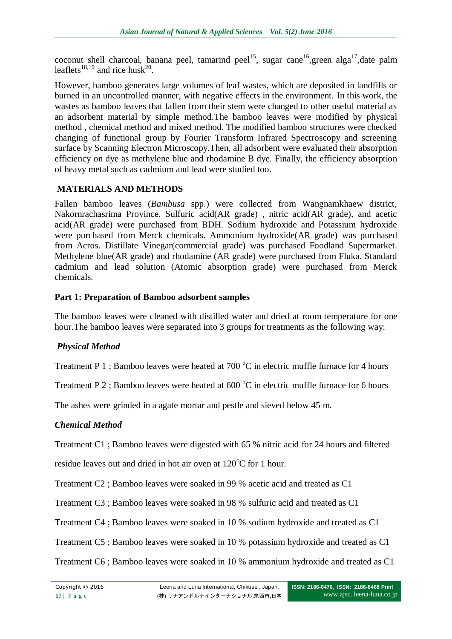coconut shell charcoal, banana peel, tamarind peel<sup>15</sup>, sugar cane<sup>16</sup>,green alga<sup>17</sup>,date palm leaflets<sup>18,19</sup> and rice husk<sup>20</sup>.

However, bamboo generates large volumes of leaf wastes, which are deposited in landfills or burned in an uncontrolled manner, with negative effects in the environment. In this work, the wastes as bamboo leaves that fallen from their stem were changed to other useful material as an adsorbent material by simple method.The bamboo leaves were modified by physical method , chemical method and mixed method. The modified bamboo structures were checked changing of functional group by Fourier Transform Infrared Spectroscopy and screening surface by Scanning Electron Microscopy.Then, all adsorbent were evaluated their absorption efficiency on dye as methylene blue and rhodamine B dye. Finally, the efficiency absorption of heavy metal such as cadmium and lead were studied too.

## **MATERIALS AND METHODS**

Fallen bamboo leaves (*Bambusa* spp.) were collected from Wangnamkhaew district, Nakornrachasrima Province. Sulfuric acid(AR grade) , nitric acid(AR grade), and acetic acid(AR grade) were purchased from BDH. Sodium hydroxide and Potassium hydroxide were purchased from Merck chemicals. Ammonium hydroxide(AR grade) was purchased from Acros. Distillate Vinegar(commercial grade) was purchased Foodland Supermarket. Methylene blue(AR grade) and rhodamine (AR grade) were purchased from Fluka. Standard cadmium and lead solution (Atomic absorption grade) were purchased from Merck chemicals.

### **Part 1: Preparation of Bamboo adsorbent samples**

The bamboo leaves were cleaned with distilled water and dried at room temperature for one hour.The bamboo leaves were separated into 3 groups for treatments as the following way:

## *Physical Method*

Treatment P 1 ; Bamboo leaves were heated at 700  $^{\circ}$ C in electric muffle furnace for 4 hours

Treatment P 2; Bamboo leaves were heated at  $600\,^{\circ}\text{C}$  in electric muffle furnace for 6 hours

The ashes were grinded in a agate mortar and pestle and sieved below 45 m.

## *Chemical Method*

Treatment C1 ; Bamboo leaves were digested with 65 % nitric acid for 24 hours and filtered

residue leaves out and dried in hot air oven at  $120^{\circ}$ C for 1 hour.

Treatment C2 ; Bamboo leaves were soaked in 99 % acetic acid and treated as C1

Treatment C3 ; Bamboo leaves were soaked in 98 % sulfuric acid and treated as C1

Treatment C4 ; Bamboo leaves were soaked in 10 % sodium hydroxide and treated as C1

Treatment C5 ; Bamboo leaves were soaked in 10 % potassium hydroxide and treated as C1

Treatment C6 ; Bamboo leaves were soaked in 10 % ammonium hydroxide and treated as C1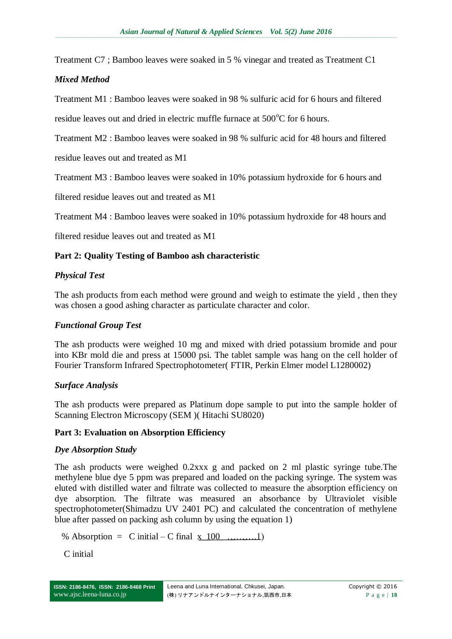Treatment C7 ; Bamboo leaves were soaked in 5 % vinegar and treated as Treatment C1

### *Mixed Method*

Treatment M1 : Bamboo leaves were soaked in 98 % sulfuric acid for 6 hours and filtered

residue leaves out and dried in electric muffle furnace at  $500^{\circ}$ C for 6 hours.

Treatment M2 : Bamboo leaves were soaked in 98 % sulfuric acid for 48 hours and filtered

residue leaves out and treated as M1

Treatment M3 : Bamboo leaves were soaked in 10% potassium hydroxide for 6 hours and

filtered residue leaves out and treated as M1

Treatment M4 : Bamboo leaves were soaked in 10% potassium hydroxide for 48 hours and

filtered residue leaves out and treated as M1

### **Part 2: Quality Testing of Bamboo ash characteristic**

### *Physical Test*

The ash products from each method were ground and weigh to estimate the yield , then they was chosen a good ashing character as particulate character and color.

#### *Functional Group Test*

The ash products were weighed 10 mg and mixed with dried potassium bromide and pour into KBr mold die and press at 15000 psi. The tablet sample was hang on the cell holder of Fourier Transform Infrared Spectrophotometer( FTIR, Perkin Elmer model L1280002)

#### *Surface Analysis*

The ash products were prepared as Platinum dope sample to put into the sample holder of Scanning Electron Microscopy (SEM )( Hitachi SU8020)

#### **Part 3: Evaluation on Absorption Efficiency**

#### *Dye Absorption Study*

The ash products were weighed 0.2xxx g and packed on 2 ml plastic syringe tube.The methylene blue dye 5 ppm was prepared and loaded on the packing syringe. The system was eluted with distilled water and filtrate was collected to measure the absorption efficiency on dye absorption. The filtrate was measured an absorbance by Ultraviolet visible spectrophotometer(Shimadzu UV 2401 PC) and calculated the concentration of methylene blue after passed on packing ash column by using the equation 1)

% Absorption = C initial – C final x 100 ……….1)

C initial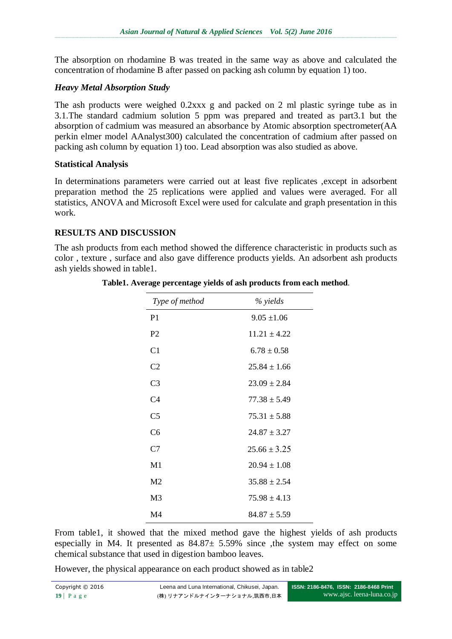The absorption on rhodamine B was treated in the same way as above and calculated the concentration of rhodamine B after passed on packing ash column by equation 1) too.

## *Heavy Metal Absorption Study*

The ash products were weighed 0.2xxx g and packed on 2 ml plastic syringe tube as in 3.1.The standard cadmium solution 5 ppm was prepared and treated as part3.1 but the absorption of cadmium was measured an absorbance by Atomic absorption spectrometer(AA perkin elmer model AAnalyst300) calculated the concentration of cadmium after passed on packing ash column by equation 1) too. Lead absorption was also studied as above.

### **Statistical Analysis**

In determinations parameters were carried out at least five replicates ,except in adsorbent preparation method the 25 replications were applied and values were averaged. For all statistics, ANOVA and Microsoft Excel were used for calculate and graph presentation in this work.

## **RESULTS AND DISCUSSION**

The ash products from each method showed the difference characteristic in products such as color , texture , surface and also gave difference products yields. An adsorbent ash products ash yields showed in table1.

| Type of method | % yields         |
|----------------|------------------|
| P <sub>1</sub> | $9.05 \pm 1.06$  |
| P <sub>2</sub> | $11.21 \pm 4.22$ |
| C <sub>1</sub> | $6.78 \pm 0.58$  |
| C <sub>2</sub> | $25.84 \pm 1.66$ |
| C3             | $23.09 \pm 2.84$ |
| C <sub>4</sub> | $77.38 \pm 5.49$ |
| C <sub>5</sub> | $75.31 \pm 5.88$ |
| C6             | $24.87 \pm 3.27$ |
| C7             | $25.66 \pm 3.25$ |
| M1             | $20.94 \pm 1.08$ |
| M <sub>2</sub> | $35.88 \pm 2.54$ |
| M <sub>3</sub> | $75.98 \pm 4.13$ |
| $\mathbf{M}4$  | $84.87 \pm 5.59$ |

**Table1. Average percentage yields of ash products from each method**.

From table1, it showed that the mixed method gave the highest yields of ash products especially in M4. It presented as  $84.87 \pm 5.59\%$  since , the system may effect on some chemical substance that used in digestion bamboo leaves.

However, the physical appearance on each product showed as in table2

| Copyright © 2016 | Leena and Luna International, Chikusei, Japan. | ISSN: 2186-8476, ISSN: 2186-8468 Print |
|------------------|------------------------------------------------|----------------------------------------|
| $19$ Page        | (株) リナアンドルナインターナショナル,筑西市,日本                    | www.ajsc. leena-luna.co.jp             |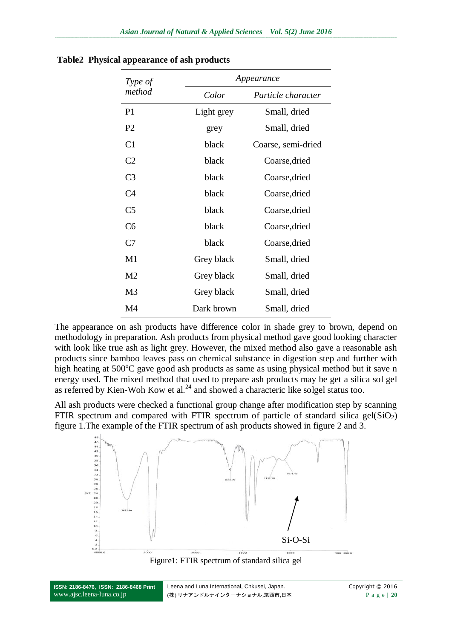| Type of        |            | Appearance         |  |
|----------------|------------|--------------------|--|
| method         | Color      | Particle character |  |
| P <sub>1</sub> | Light grey | Small, dried       |  |
| P <sub>2</sub> | grey       | Small, dried       |  |
| C <sub>1</sub> | black      | Coarse, semi-dried |  |
| C <sub>2</sub> | black      | Coarse, dried      |  |
| C <sub>3</sub> | black      | Coarse, dried      |  |
| C <sub>4</sub> | black      | Coarse, dried      |  |
| C <sub>5</sub> | black      | Coarse, dried      |  |
| C <sub>6</sub> | black      | Coarse, dried      |  |
| C7             | black      | Coarse, dried      |  |
| M1             | Grey black | Small, dried       |  |
| M2             | Grey black | Small, dried       |  |
| M <sub>3</sub> | Grey black | Small, dried       |  |
| M4             | Dark brown | Small, dried       |  |

**Table2 Physical appearance of ash products**

The appearance on ash products have difference color in shade grey to brown, depend on methodology in preparation. Ash products from physical method gave good looking character with look like true ash as light grey. However, the mixed method also gave a reasonable ash products since bamboo leaves pass on chemical substance in digestion step and further with high heating at  $500^{\circ}$ C gave good ash products as same as using physical method but it save n energy used. The mixed method that used to prepare ash products may be get a silica sol gel as referred by Kien-Woh Kow et al.<sup>24</sup> and showed a characteric like solgel status too.

All ash products were checked a functional group change after modification step by scanning FTIR spectrum and compared with FTIR spectrum of particle of standard silica gel( $SiO<sub>2</sub>$ ) figure 1.The example of the FTIR spectrum of ash products showed in figure 2 and 3.



Figure1: FTIR spectrum of standard silica gel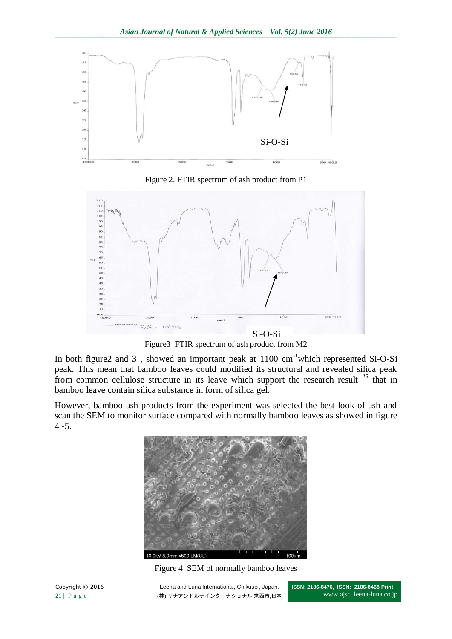

Figure 2. FTIR spectrum of ash product from P1



Figure3 FTIR spectrum of ash product from M2

In both figure2 and 3 , showed an important peak at 1100 cm-1which represented Si-O-Si peak. This mean that bamboo leaves could modified its structural and revealed silica peak from common cellulose structure in its leave which support the research result <sup>25</sup> that in bamboo leave contain silica substance in form of silica gel.

However, bamboo ash products from the experiment was selected the best look of ash and scan the SEM to monitor surface compared with normally bamboo leaves as showed in figure 4 -5.



Figure 4 SEM of normally bamboo leaves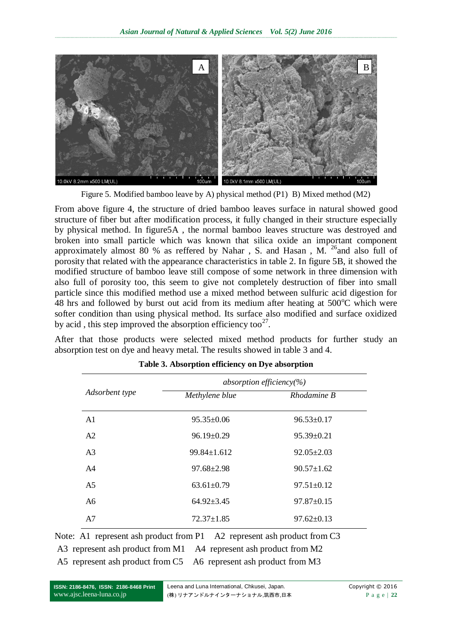

Figure 5. Modified bamboo leave by A) physical method (P1) B) Mixed method (M2)

From above figure 4, the structure of dried bamboo leaves surface in natural showed good structure of fiber but after modification process, it fully changed in their structure especially by physical method. In figure5A , the normal bamboo leaves structure was destroyed and broken into small particle which was known that silica oxide an important component approximately almost 80 % as reffered by Nahar, S. and Hasan, M.  $^{26}$  and also full of porosity that related with the appearance characteristics in table 2. In figure 5B, it showed the modified structure of bamboo leave still compose of some network in three dimension with also full of porosity too, this seem to give not completely destruction of fiber into small particle since this modified method use a mixed method between sulfuric acid digestion for 48 hrs and followed by burst out acid from its medium after heating at  $500^{\circ}$ C which were softer condition than using physical method. Its surface also modified and surface oxidized by acid, this step improved the absorption efficiency too $27$ .

After that those products were selected mixed method products for further study an absorption test on dye and heavy metal. The results showed in table 3 and 4.

|                | absorption efficiency(%) |                  |  |
|----------------|--------------------------|------------------|--|
| Adsorbent type | Methylene blue           | Rhodamine B      |  |
| A <sub>1</sub> | $95.35 \pm 0.06$         | $96.53 \pm 0.17$ |  |
| A <sub>2</sub> | $96.19 \pm 0.29$         | $95.39 \pm 0.21$ |  |
| A <sup>3</sup> | $99.84 \pm 1.612$        | $92.05 \pm 2.03$ |  |
| A <sub>4</sub> | $97.68 \pm 2.98$         | $90.57 \pm 1.62$ |  |
| A <sub>5</sub> | $63.61 \pm 0.79$         | $97.51 \pm 0.12$ |  |
| A6             | $64.92 \pm 3.45$         | $97.87 \pm 0.15$ |  |
| A7             | $72.37 \pm 1.85$         | $97.62 \pm 0.13$ |  |

| Table 3. Absorption efficiency on Dye absorption |  |  |  |
|--------------------------------------------------|--|--|--|
|--------------------------------------------------|--|--|--|

Note: A1 represent ash product from P1 A2 represent ash product from C3 A3 represent ash product from M1 A4 represent ash product from M2 A5 represent ash product from C5 A6 represent ash product from M3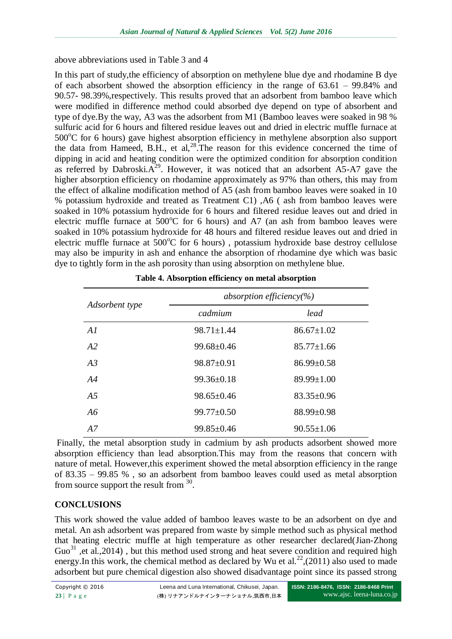above abbreviations used in Table 3 and 4

In this part of study,the efficiency of absorption on methylene blue dye and rhodamine B dye of each absorbent showed the absorption efficiency in the range of 63.61 – 99.84% and 90.57- 98.39%,respectively. This results proved that an adsorbent from bamboo leave which were modified in difference method could absorbed dye depend on type of absorbent and type of dye.By the way, A3 was the adsorbent from M1 (Bamboo leaves were soaked in 98 % sulfuric acid for 6 hours and filtered residue leaves out and dried in electric muffle furnace at  $500^{\circ}$ C for 6 hours) gave highest absorption efficiency in methylene absorption also support the data from Hameed, B.H., et al, $^{28}$ .The reason for this evidence concerned the time of dipping in acid and heating condition were the optimized condition for absorption condition as referred by Dabroski. $A^{29}$ . However, it was noticed that an adsorbent  $A5-A7$  gave the higher absorption efficiency on rhodamine approximately as 97% than others, this may from the effect of alkaline modification method of A5 (ash from bamboo leaves were soaked in 10 % potassium hydroxide and treated as Treatment C1) ,A6 ( ash from bamboo leaves were soaked in 10% potassium hydroxide for 6 hours and filtered residue leaves out and dried in electric muffle furnace at  $500^{\circ}$ C for 6 hours) and A7 (an ash from bamboo leaves were soaked in 10% potassium hydroxide for 48 hours and filtered residue leaves out and dried in electric muffle furnace at  $500^{\circ}$ C for 6 hours), potassium hydroxide base destroy cellulose may also be impurity in ash and enhance the absorption of rhodamine dye which was basic dye to tightly form in the ash porosity than using absorption on methylene blue.

|                | absorption efficiency(%) |                  |
|----------------|--------------------------|------------------|
| Adsorbent type | cadmium                  | lead             |
| AI             | $98.71 \pm 1.44$         | $86.67 \pm 1.02$ |
| A2             | $99.68 \pm 0.46$         | $85.77 \pm 1.66$ |
| A3             | $98.87 \pm 0.91$         | $86.99 \pm 0.58$ |
| A4             | $99.36 \pm 0.18$         | $89.99 \pm 1.00$ |
| A <sub>5</sub> | $98.65 \pm 0.46$         | $83.35 \pm 0.96$ |
| A6             | $99.77 \pm 0.50$         | $88.99 \pm 0.98$ |
| A7             | $99.85 \pm 0.46$         | $90.55 \pm 1.06$ |

| Table 4. Absorption efficiency on metal absorption |  |  |
|----------------------------------------------------|--|--|
|----------------------------------------------------|--|--|

Finally, the metal absorption study in cadmium by ash products adsorbent showed more absorption efficiency than lead absorption.This may from the reasons that concern with nature of metal. However,this experiment showed the metal absorption efficiency in the range of 83.35 – 99.85 % , so an adsorbent from bamboo leaves could used as metal absorption from source support the result from  $30$ .

## **CONCLUSIONS**

This work showed the value added of bamboo leaves waste to be an adsorbent on dye and metal. An ash adsorbent was prepared from waste by simple method such as physical method that heating electric muffle at high temperature as other researcher declared(Jian-Zhong  $Guo<sup>31</sup>$  et al., 2014), but this method used strong and heat severe condition and required high energy.In this work, the chemical method as declared by Wu et al.<sup>22</sup>,(2011) also used to made adsorbent but pure chemical digestion also showed disadvantage point since its passed strong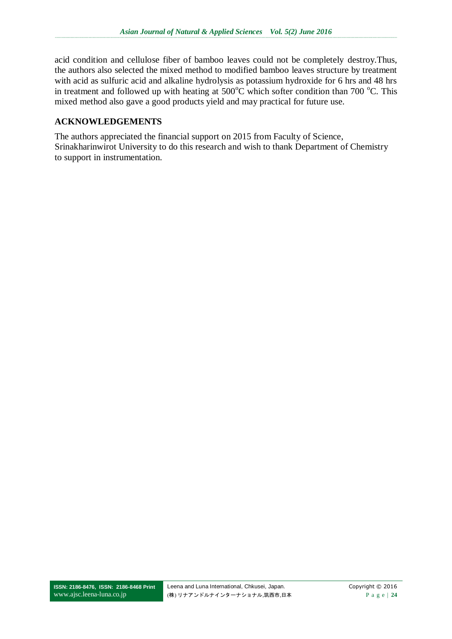acid condition and cellulose fiber of bamboo leaves could not be completely destroy.Thus, the authors also selected the mixed method to modified bamboo leaves structure by treatment with acid as sulfuric acid and alkaline hydrolysis as potassium hydroxide for 6 hrs and 48 hrs in treatment and followed up with heating at  $500^{\circ}$ C which softer condition than 700  $^{\circ}$ C. This mixed method also gave a good products yield and may practical for future use.

## **ACKNOWLEDGEMENTS**

The authors appreciated the financial support on 2015 from Faculty of Science, Srinakharinwirot University to do this research and wish to thank Department of Chemistry to support in instrumentation.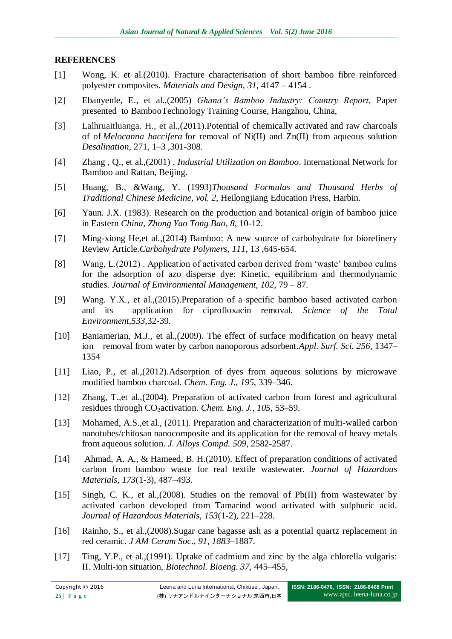### **REFERENCES**

- [1] Wong, K. et al.(2010). Fracture characterisation of short bamboo fibre reinforced polyester composites. *Materials and Design, 31*, 4147 – 4154 .
- [2] Ebanyenle, E., et al.,(2005) *Ghana's Bamboo Industry: Country Report*, Paper presented to BambooTechnology Training Course, Hangzhou, China,
- [3] Lalhruaitluanga. H., et al.,(2011)[.Potential of chemically](http://www.sciencedirect.com/science/article/pii/S0011916411000117) activated and raw charcoals of of *Melocanna baccifera* [for removal of Ni\(II\) and Zn\(II\) from aqueous solution](http://www.sciencedirect.com/science/article/pii/S0011916411000117)  *Desalination,* 271, 1–3 ,301-308.
- [4] Zhang , Q., et al.,(2001) . *Industrial Utilization on Bamboo*. International Network for Bamboo and Rattan, Beijing.
- [5] Huang, B., &Wang, Y. (1993)*Thousand Formulas and Thousand Herbs of Traditional Chinese Medicine, vol. 2,* Heilongjiang Education Press, Harbin.
- [6] Yaun. J.X. (1983). Research on the production and botanical origin of bamboo juice in Eastern *China, Zhong Yao Tong Bao*, *8*, 10-12.
- [7] Ming-xiong He,et al.,(2014) Bamboo: A new source of carbohydrate for biorefinery Review Article.*Carbohydrate Polymers*, *111*, 13 ,645-654.
- [8] Wang, L.(2012) . Application of activated carbon derived from 'waste' bamboo culms for the adsorption of azo disperse dye: Kinetic, equilibrium and thermodynamic studies. *Journal of Environmental Management, 102*, 79 – 87.
- [9] Wang. Y.X., et al.,(2015).Preparation of a specific bamboo based activated carbon and its application for ciprofloxacin removal. *Science of the Total Environment*,*533*,32-39.
- [10] Baniamerian, M.J., et al.,(2009). The effect of surface modification on heavy metal ion removal from water by carbon nanoporous adsorbent.*Appl. Surf. Sci. 256*, 1347– 1354
- [11] Liao, P., et al.,(2012).Adsorption of dyes from aqueous solutions by microwave modified bamboo charcoal. *Chem. Eng. J*., *195*, 339–346.
- [12] Zhang, T.,et al.,(2004). Preparation of activated carbon from forest and agricultural residues through CO2activation. *Chem. Eng. J.*, *105*, 53–59.
- [13] Mohamed, A.S., et al., (2011). Preparation and characterization of multi-walled carbon nanotubes/chitosan nanocomposite and its application for the removal of heavy metals from aqueous solution. *J. Alloys Compd. 509*, 2582-2587.
- [14] Ahmad, A. A., & Hameed, B. H.(2010). Effect of preparation conditions of activated carbon from bamboo waste for real textile wastewater. *Journal of Hazardous Materials*, *173*(1-3), 487–493.
- [15] Singh, C. K., et al.,(2008). Studies on the removal of Pb(II) from wastewater by activated carbon developed from Tamarind wood activated with sulphuric acid. *Journal of Hazardous Materials*, *153*(1-2), 221–228.
- [16] Rainho, S., et al.,(2008). Sugar cane bagasse ash as a potential quartz replacement in red ceramic. *J AM Ceram Soc*., *91, 1883*–1887.
- [17] Ting, Y.P., et al.,(1991). Uptake of cadmium and zinc by the alga chlorella vulgaris: II. Multi-ion situation, *Biotechnol. Bioeng. 37*, 445–455,